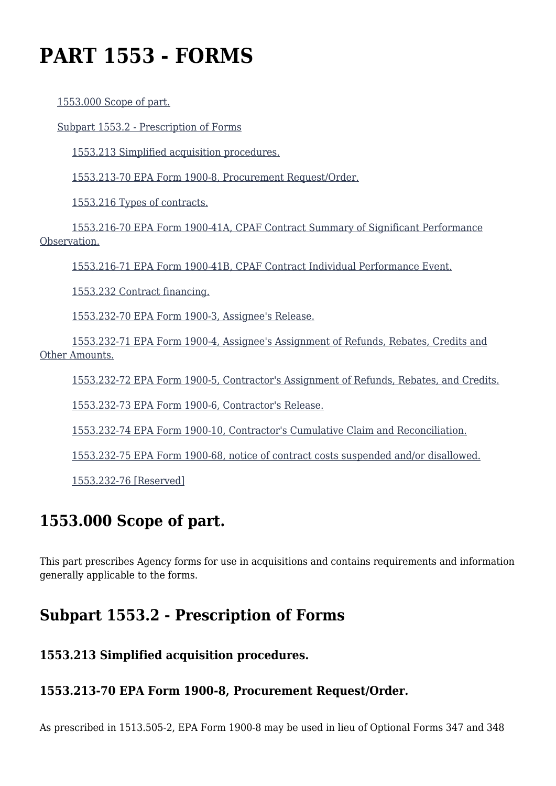# **PART 1553 - FORMS**

[1553.000 Scope of part.](https://origin-www.acquisition.gov/%5Brp:link:epaar-part-1553%5D#Section_1553_000_T48_601838011)

[Subpart 1553.2 - Prescription of Forms](https://origin-www.acquisition.gov/%5Brp:link:epaar-part-1553%5D#Subpart_1553_2_T48_6018381)

[1553.213 Simplified acquisition procedures.](https://origin-www.acquisition.gov/%5Brp:link:epaar-part-1553%5D#Section_1553_213_T48_601838111)

[1553.213-70 EPA Form 1900-8, Procurement Request/Order.](https://origin-www.acquisition.gov/%5Brp:link:epaar-part-1553%5D#Section_1553_213_70_T48_601838112)

[1553.216 Types of contracts.](https://origin-www.acquisition.gov/%5Brp:link:epaar-part-1553%5D#Section_1553_216_T48_601838113)

 [1553.216-70 EPA Form 1900-41A, CPAF Contract Summary of Significant Performance](https://origin-www.acquisition.gov/%5Brp:link:epaar-part-1553%5D#Section_1553_216_70_T48_601838114) [Observation.](https://origin-www.acquisition.gov/%5Brp:link:epaar-part-1553%5D#Section_1553_216_70_T48_601838114)

[1553.216-71 EPA Form 1900-41B, CPAF Contract Individual Performance Event.](https://origin-www.acquisition.gov/%5Brp:link:epaar-part-1553%5D#Section_1553_216_71_T48_601838115)

[1553.232 Contract financing.](https://origin-www.acquisition.gov/%5Brp:link:epaar-part-1553%5D#Section_1553_232_T48_601838116)

[1553.232-70 EPA Form 1900-3, Assignee's Release.](https://origin-www.acquisition.gov/%5Brp:link:epaar-part-1553%5D#Section_1553_232_70_T48_601838117)

 [1553.232-71 EPA Form 1900-4, Assignee's Assignment of Refunds, Rebates, Credits and](https://origin-www.acquisition.gov/%5Brp:link:epaar-part-1553%5D#Section_1553_232_71_T48_601838118) [Other Amounts.](https://origin-www.acquisition.gov/%5Brp:link:epaar-part-1553%5D#Section_1553_232_71_T48_601838118)

[1553.232-72 EPA Form 1900-5, Contractor's Assignment of Refunds, Rebates, and Credits.](https://origin-www.acquisition.gov/%5Brp:link:epaar-part-1553%5D#Section_1553_232_72_T48_601838119)

[1553.232-73 EPA Form 1900-6, Contractor's Release.](https://origin-www.acquisition.gov/%5Brp:link:epaar-part-1553%5D#Section_1553_232_73_T48_6018381110)

[1553.232-74 EPA Form 1900-10, Contractor's Cumulative Claim and Reconciliation.](https://origin-www.acquisition.gov/%5Brp:link:epaar-part-1553%5D#Section_1553_232_74_T48_6018381111)

[1553.232-75 EPA Form 1900-68, notice of contract costs suspended and/or disallowed.](https://origin-www.acquisition.gov/%5Brp:link:epaar-part-1553%5D#Section_1553_232_75_T48_6018381112)

[1553.232-76 \[Reserved\]](https://origin-www.acquisition.gov/%5Brp:link:epaar-part-1553%5D#Section_1553_232_76_T48_6018381113)

# **1553.000 Scope of part.**

This part prescribes Agency forms for use in acquisitions and contains requirements and information generally applicable to the forms.

# **Subpart 1553.2 - Prescription of Forms**

#### **1553.213 Simplified acquisition procedures.**

#### **1553.213-70 EPA Form 1900-8, Procurement Request/Order.**

As prescribed in 1513.505-2, EPA Form 1900-8 may be used in lieu of Optional Forms 347 and 348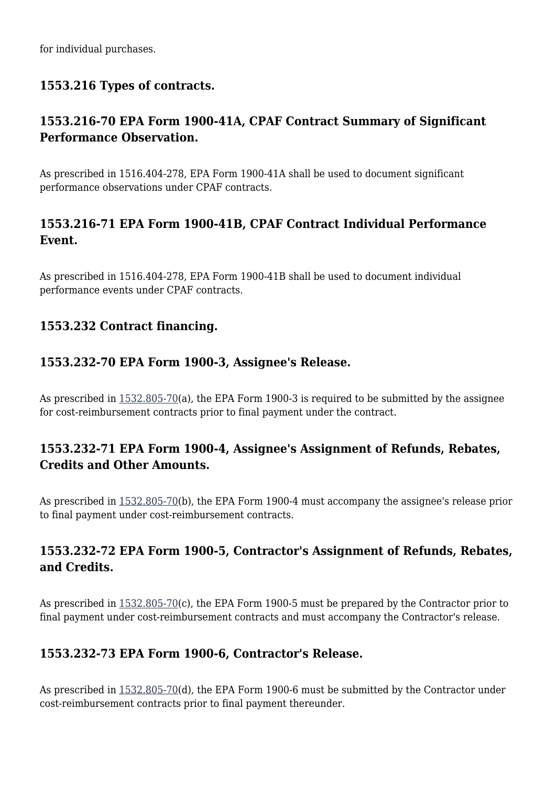for individual purchases.

#### **1553.216 Types of contracts.**

### **1553.216-70 EPA Form 1900-41A, CPAF Contract Summary of Significant Performance Observation.**

As prescribed in 1516.404-278, EPA Form 1900-41A shall be used to document significant performance observations under CPAF contracts.

### **1553.216-71 EPA Form 1900-41B, CPAF Contract Individual Performance Event.**

As prescribed in 1516.404-278, EPA Form 1900-41B shall be used to document individual performance events under CPAF contracts.

#### **1553.232 Contract financing.**

#### **1553.232-70 EPA Form 1900-3, Assignee's Release.**

As prescribed in  $1532.805-70(a)$  $1532.805-70(a)$ , the EPA Form 1900-3 is required to be submitted by the assignee for cost-reimbursement contracts prior to final payment under the contract.

#### **1553.232-71 EPA Form 1900-4, Assignee's Assignment of Refunds, Rebates, Credits and Other Amounts.**

As prescribed in [1532.805-70\(](https://origin-www.acquisition.gov/%5Brp:link:epaar-part-1532%5D#Section_1532_805_70_T48_601527412)b), the EPA Form 1900-4 must accompany the assignee's release prior to final payment under cost-reimbursement contracts.

#### **1553.232-72 EPA Form 1900-5, Contractor's Assignment of Refunds, Rebates, and Credits.**

As prescribed in [1532.805-70\(](https://origin-www.acquisition.gov/%5Brp:link:epaar-part-1532%5D#Section_1532_805_70_T48_601527412)c), the EPA Form 1900-5 must be prepared by the Contractor prior to final payment under cost-reimbursement contracts and must accompany the Contractor's release.

#### **1553.232-73 EPA Form 1900-6, Contractor's Release.**

As prescribed in [1532.805-70\(](https://origin-www.acquisition.gov/%5Brp:link:epaar-part-1532%5D#Section_1532_805_70_T48_601527412)d), the EPA Form 1900-6 must be submitted by the Contractor under cost-reimbursement contracts prior to final payment thereunder.